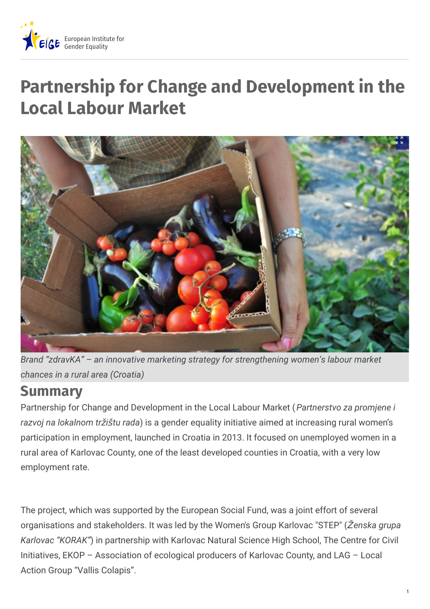

# **Partnership for Change and Development in the Local Labour Market**



*Brand "zdravKA" – an innovative marketing strategy for strengthening women's labour market chances in a rural area (Croatia)*

### **Summary**

Partnership for Change and Development in the Local Labour Market (*Partnerstvo za promjene i razvoj na lokalnom tr*ž*i*š*tu rada*) is a gender equality initiative aimed at increasing rural women's participation in employment, launched in Croatia in 2013. It focused on unemployed women in a rural area of Karlovac County, one of the least developed counties in Croatia, with a very low employment rate.

The project, which was supported by the European Social Fund, was a joint effort of several organisations and stakeholders. It was led by the Women's Group Karlovac "STEP" (Ž*enska grupa Karlovac "KORAK"*) in partnership with Karlovac Natural Science High School, The Centre for Civil Initiatives, EKOP – Association of ecological producers of Karlovac County, and LAG – Local Action Group "Vallis Colapis".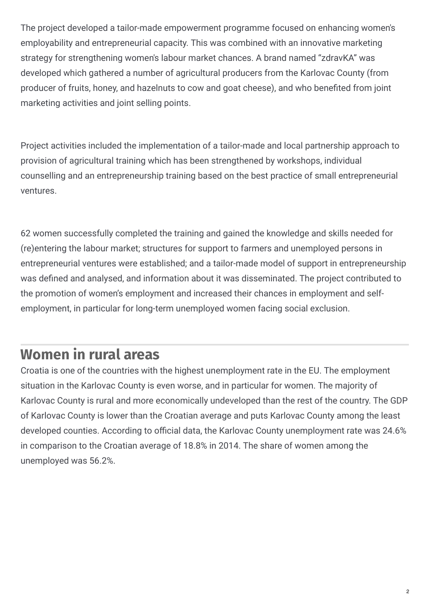The project developed a tailor-made empowerment programme focused on enhancing women's employability and entrepreneurial capacity. This was combined with an innovative marketing strategy for strengthening women's labour market chances. A brand named "zdravKA" was developed which gathered a number of agricultural producers from the Karlovac County (from producer of fruits, honey, and hazelnuts to cow and goat cheese), and who benefited from joint marketing activities and joint selling points.

Project activities included the implementation of a tailor-made and local partnership approach to provision of agricultural training which has been strengthened by workshops, individual counselling and an entrepreneurship training based on the best practice of small entrepreneurial ventures.

62 women successfully completed the training and gained the knowledge and skills needed for (re)entering the labour market; structures for support to farmers and unemployed persons in entrepreneurial ventures were established; and a tailor-made model of support in entrepreneurship was defined and analysed, and information about it was disseminated. The project contributed to the promotion of women's employment and increased their chances in employment and selfemployment, in particular for long-term unemployed women facing social exclusion.

## **Women in rural areas**

Croatia is one of the countries with the highest unemployment rate in the EU. The employment situation in the Karlovac County is even worse, and in particular for women. The majority of Karlovac County is rural and more economically undeveloped than the rest of the country. The GDP of Karlovac County is lower than the Croatian average and puts Karlovac County among the least developed counties. According to official data, the Karlovac County unemployment rate was 24.6% in comparison to the Croatian average of 18.8% in 2014. The share of women among the unemployed was 56.2%.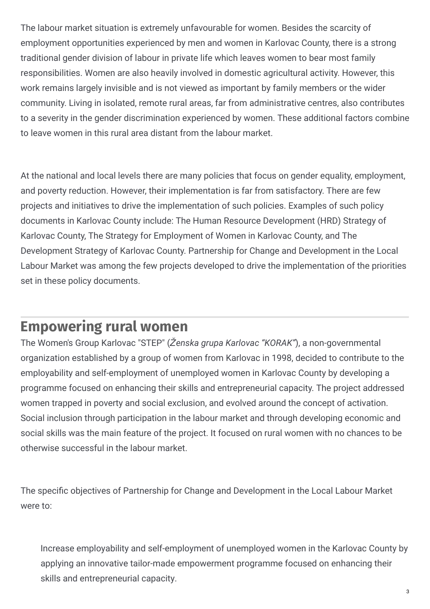The labour market situation is extremely unfavourable for women. Besides the scarcity of employment opportunities experienced by men and women in Karlovac County, there is a strong traditional gender division of labour in private life which leaves women to bear most family responsibilities. Women are also heavily involved in domestic agricultural activity. However, this work remains largely invisible and is not viewed as important by family members or the wider community. Living in isolated, remote rural areas, far from administrative centres, also contributes to a severity in the gender discrimination experienced by women. These additional factors combine to leave women in this rural area distant from the labour market.

At the national and local levels there are many policies that focus on gender equality, employment, and poverty reduction. However, their implementation is far from satisfactory. There are few projects and initiatives to drive the implementation of such policies. Examples of such policy documents in Karlovac County include: The Human Resource Development (HRD) Strategy of Karlovac County, The Strategy for Employment of Women in Karlovac County, and The Development Strategy of Karlovac County. Partnership for Change and Development in the Local Labour Market was among the few projects developed to drive the implementation of the priorities set in these policy documents.

### **Empowering rural women**

The Women's Group Karlovac "STEP" (Ž*enska grupa Karlovac "KORAK"*), a non-governmental organization established by a group of women from Karlovac in 1998, decided to contribute to the employability and self-employment of unemployed women in Karlovac County by developing a programme focused on enhancing their skills and entrepreneurial capacity. The project addressed women trapped in poverty and social exclusion, and evolved around the concept of activation. Social inclusion through participation in the labour market and through developing economic and social skills was the main feature of the project. It focused on rural women with no chances to be otherwise successful in the labour market.

The specific objectives of Partnership for Change and Development in the Local Labour Market were to:

Increase employability and self-employment of unemployed women in the Karlovac County by applying an innovative tailor-made empowerment programme focused on enhancing their skills and entrepreneurial capacity.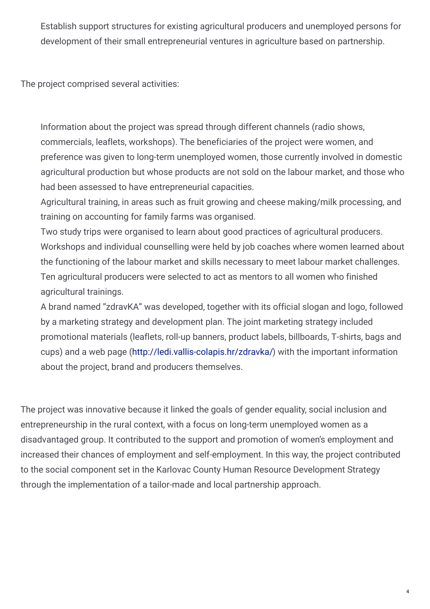Establish support structures for existing agricultural producers and unemployed persons for development of their small entrepreneurial ventures in agriculture based on partnership.

The project comprised several activities:

Information about the project was spread through different channels (radio shows, commercials, leaflets, workshops). The beneficiaries of the project were women, and preference was given to long-term unemployed women, those currently involved in domestic agricultural production but whose products are not sold on the labour market, and those who had been assessed to have entrepreneurial capacities.

Agricultural training, in areas such as fruit growing and cheese making/milk processing, and training on accounting for family farms was organised.

Two study trips were organised to learn about good practices of agricultural producers. Workshops and individual counselling were held by job coaches where women learned about the functioning of the labour market and skills necessary to meet labour market challenges. Ten agricultural producers were selected to act as mentors to all women who finished agricultural trainings.

A brand named "zdravKA" was developed, together with its official slogan and logo, followed by a marketing strategy and development plan. The joint marketing strategy included promotional materials (leaflets, roll-up banners, product labels, billboards, T-shirts, bags and cups) and a web page [\(http://ledi.vallis-colapis.hr/zdravka/](http://ledi.vallis-colapis.hr/zdravka/)) with the important information about the project, brand and producers themselves.

The project was innovative because it linked the goals of gender equality, social inclusion and entrepreneurship in the rural context, with a focus on long-term unemployed women as a disadvantaged group. It contributed to the support and promotion of women's employment and increased their chances of employment and self-employment. In this way, the project contributed to the social component set in the Karlovac County Human Resource Development Strategy through the implementation of a tailor-made and local partnership approach.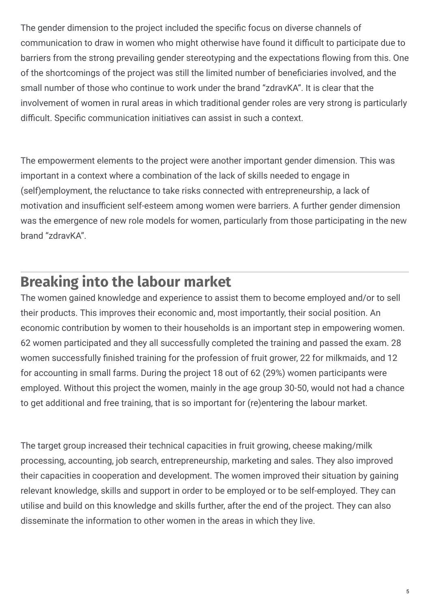The gender dimension to the project included the specific focus on diverse channels of communication to draw in women who might otherwise have found it difficult to participate due to barriers from the strong prevailing gender stereotyping and the expectations flowing from this. One of the shortcomings of the project was still the limited number of beneficiaries involved, and the small number of those who continue to work under the brand "zdravKA". It is clear that the involvement of women in rural areas in which traditional gender roles are very strong is particularly difficult. Specific communication initiatives can assist in such a context.

The empowerment elements to the project were another important gender dimension. This was important in a context where a combination of the lack of skills needed to engage in (self)employment, the reluctance to take risks connected with entrepreneurship, a lack of motivation and insufficient self-esteem among women were barriers. A further gender dimension was the emergence of new role models for women, particularly from those participating in the new brand "zdravKA".

### **Breaking into the labour market**

The women gained knowledge and experience to assist them to become employed and/or to sell their products. This improves their economic and, most importantly, their social position. An economic contribution by women to their households is an important step in empowering women. 62 women participated and they all successfully completed the training and passed the exam. 28 women successfully finished training for the profession of fruit grower, 22 for milkmaids, and 12 for accounting in small farms. During the project 18 out of 62 (29%) women participants were employed. Without this project the women, mainly in the age group 30-50, would not had a chance to get additional and free training, that is so important for (re)entering the labour market.

The target group increased their technical capacities in fruit growing, cheese making/milk processing, accounting, job search, entrepreneurship, marketing and sales. They also improved their capacities in cooperation and development. The women improved their situation by gaining relevant knowledge, skills and support in order to be employed or to be self-employed. They can utilise and build on this knowledge and skills further, after the end of the project. They can also disseminate the information to other women in the areas in which they live.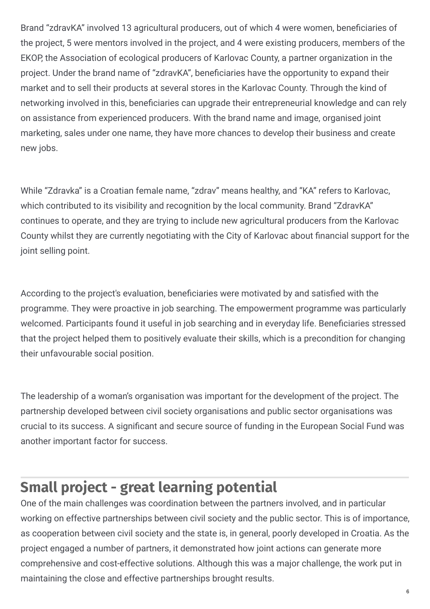Brand "zdravKA" involved 13 agricultural producers, out of which 4 were women, beneficiaries of the project, 5 were mentors involved in the project, and 4 were existing producers, members of the EKOP, the Association of ecological producers of Karlovac County, a partner organization in the project. Under the brand name of "zdravKA", beneficiaries have the opportunity to expand their market and to sell their products at several stores in the Karlovac County. Through the kind of networking involved in this, beneficiaries can upgrade their entrepreneurial knowledge and can rely on assistance from experienced producers. With the brand name and image, organised joint marketing, sales under one name, they have more chances to develop their business and create new jobs.

While "Zdravka" is a Croatian female name, "zdrav" means healthy, and "KA" refers to Karlovac, which contributed to its visibility and recognition by the local community. Brand "ZdravKA" continues to operate, and they are trying to include new agricultural producers from the Karlovac County whilst they are currently negotiating with the City of Karlovac about financial support for the joint selling point.

According to the project's evaluation, beneficiaries were motivated by and satisfied with the programme. They were proactive in job searching. The empowerment programme was particularly welcomed. Participants found it useful in job searching and in everyday life. Beneficiaries stressed that the project helped them to positively evaluate their skills, which is a precondition for changing their unfavourable social position.

The leadership of a woman's organisation was important for the development of the project. The partnership developed between civil society organisations and public sector organisations was crucial to its success. A significant and secure source of funding in the European Social Fund was another important factor for success.

## **Small project - great learning potential**

One of the main challenges was coordination between the partners involved, and in particular working on effective partnerships between civil society and the public sector. This is of importance, as cooperation between civil society and the state is, in general, poorly developed in Croatia. As the project engaged a number of partners, it demonstrated how joint actions can generate more comprehensive and cost-effective solutions. Although this was a major challenge, the work put in maintaining the close and effective partnerships brought results.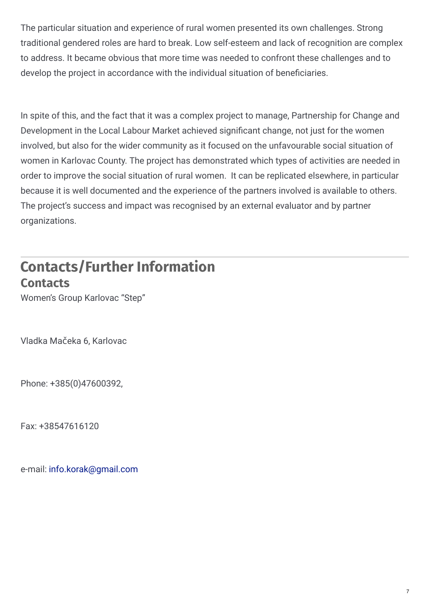The particular situation and experience of rural women presented its own challenges. Strong traditional gendered roles are hard to break. Low self-esteem and lack of recognition are complex to address. It became obvious that more time was needed to confront these challenges and to develop the project in accordance with the individual situation of beneficiaries.

In spite of this, and the fact that it was a complex project to manage, Partnership for Change and Development in the Local Labour Market achieved significant change, not just for the women involved, but also for the wider community as it focused on the unfavourable social situation of women in Karlovac County. The project has demonstrated which types of activities are needed in order to improve the social situation of rural women. It can be replicated elsewhere, in particular because it is well documented and the experience of the partners involved is available to others. The project's success and impact was recognised by an external evaluator and by partner organizations.

### **Contacts/Further Information Contacts**

Women's Group Karlovac "Step"

Vladka Mačeka 6, Karlovac

Phone: +385(0)47600392,

Fax: +38547616120

e-mail: [info.korak@gmail.com](mailto:info.korak@gmail.com)